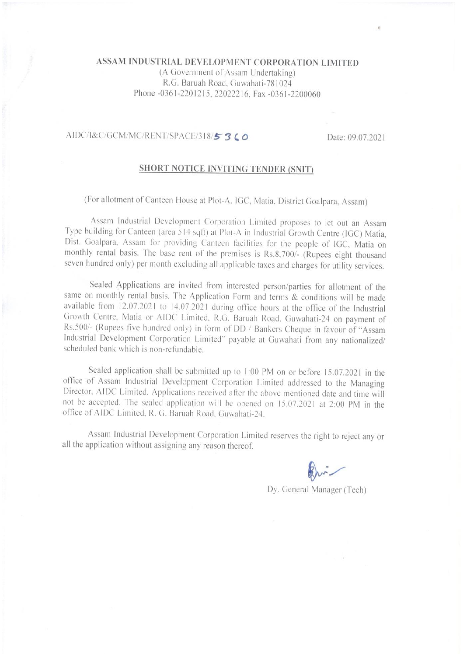## ASSAM INDUSTRIAL DEVELOPMENT CORPORATION LIMITED

(A Government of Assam Undertaking) R.G. Baruah Road, Guwahati-781024 Phone -0361-2201215, 22022216. Fax -0361-2200060

#### AIDC/I&C/GCM/MC/RENT/SPACE/318/53LO

Date: 09.07.2021

## SHORT NOTICE INVITING TENDER (SNIT)

(For allotment of Canteen House at Plot-A, IGC, Matia, District Goalpara, Assam)

Assam Industrial Development Corporation Limited proposes to let out an Assam Type building for Canteen (area 514 sqft) at Plot-A in Industrial Growth Centre (IGC) Matia, Dist. Goalpara, Assam for providing Canteen facilities for the people of IGC, Matia on monthly rental basis. The base rent of the premises is Rs.8,700/- (Rupees eight thousand seven hundred only) per month excluding all applicable taxes and charges for utility services.

Sealed Applications are invited from interested person/parties for allotment of the same on monthly rental basis. The Application Form and terms & conditions will be made available from 12.07.2021 to 14.07.2021 during office hours at the office of the Industrial Growth Centre, Matia or AIDC Limited, R.G. Baruah Road, Guwahati-24 on payment of Rs.500/- (Rupees five hundred only) in form of DD / Bankers Cheque in favour of "Assam Industrial Development Corporation Limited" payable at Guwahati from any nationalized/ scheduled bank which is non-refundable.

Sealed application shall be submitted up to 1:00 PM on or before 15.07.2021 in the office of Assam Industrial Development Corporation Limited addressed to the Managing Director, AIDC Limited. Applications received after the above mentioned date and time will not be accepted. The sealed application will be opened on 15.07.2021 at 2:00 PM in the office of AIDC Limited. R. G. Baruah Road. Guwahati-24.

Assam Industrial Development Corporation Limited reserves the right to reject any or all the application without assigning any reason thereof.

Dy. General Manager (Tech)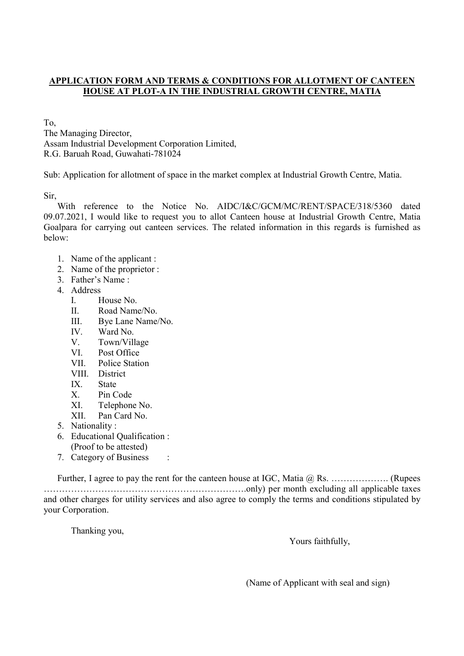### APPLICATION FORM AND TERMS & CONDITIONS FOR ALLOTMENT OF CANTEEN HOUSE AT PLOT-A IN THE INDUSTRIAL GROWTH CENTRE, MATIA

To,

The Managing Director, Assam Industrial Development Corporation Limited, R.G. Baruah Road, Guwahati-781024

Sub: Application for allotment of space in the market complex at Industrial Growth Centre, Matia.

Sir,

With reference to the Notice No. AIDC/I&C/GCM/MC/RENT/SPACE/318/5360 dated 09.07.2021, I would like to request you to allot Canteen house at Industrial Growth Centre, Matia Goalpara for carrying out canteen services. The related information in this regards is furnished as below:

- 1. Name of the applicant :
- 2. Name of the proprietor :
- 3. Father's Name :
- 4. Address
	- I. House No.
	- II. Road Name/No.
	- III. Bye Lane Name/No.
	- IV. Ward No.
	- V. Town/Village
	- VI. Post Office
	- VII. Police Station
	- VIII. District
	- IX. State
	- X. Pin Code
	- XI. Telephone No.
	- XII. Pan Card No.
- 5. Nationality :
- 6. Educational Qualification : (Proof to be attested)
- 7. Category of Business :

Further, I agree to pay the rent for the canteen house at IGC, Matia @ Rs. ……………….. (Rupees ………………………………………………………….only) per month excluding all applicable taxes and other charges for utility services and also agree to comply the terms and conditions stipulated by your Corporation.

Thanking you,

Yours faithfully,

(Name of Applicant with seal and sign)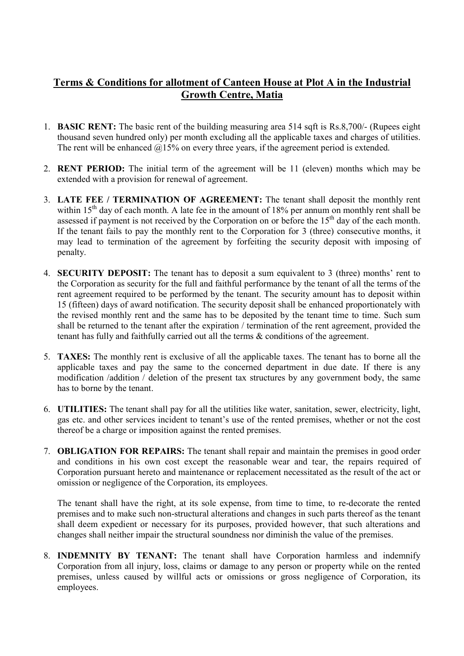# Terms & Conditions for allotment of Canteen House at Plot A in the Industrial Growth Centre, Matia

- 1. BASIC RENT: The basic rent of the building measuring area 514 sqft is Rs.8,700/- (Rupees eight thousand seven hundred only) per month excluding all the applicable taxes and charges of utilities. The rent will be enhanced  $@15\%$  on every three years, if the agreement period is extended.
- 2. RENT PERIOD: The initial term of the agreement will be 11 (eleven) months which may be extended with a provision for renewal of agreement.
- 3. LATE FEE / TERMINATION OF AGREEMENT: The tenant shall deposit the monthly rent within  $15<sup>th</sup>$  day of each month. A late fee in the amount of 18% per annum on monthly rent shall be assessed if payment is not received by the Corporation on or before the  $15<sup>th</sup>$  day of the each month. If the tenant fails to pay the monthly rent to the Corporation for 3 (three) consecutive months, it may lead to termination of the agreement by forfeiting the security deposit with imposing of penalty.
- 4. SECURITY DEPOSIT: The tenant has to deposit a sum equivalent to 3 (three) months' rent to the Corporation as security for the full and faithful performance by the tenant of all the terms of the rent agreement required to be performed by the tenant. The security amount has to deposit within 15 (fifteen) days of award notification. The security deposit shall be enhanced proportionately with the revised monthly rent and the same has to be deposited by the tenant time to time. Such sum shall be returned to the tenant after the expiration / termination of the rent agreement, provided the tenant has fully and faithfully carried out all the terms & conditions of the agreement.
- 5. TAXES: The monthly rent is exclusive of all the applicable taxes. The tenant has to borne all the applicable taxes and pay the same to the concerned department in due date. If there is any modification /addition / deletion of the present tax structures by any government body, the same has to borne by the tenant.
- 6. UTILITIES: The tenant shall pay for all the utilities like water, sanitation, sewer, electricity, light, gas etc. and other services incident to tenant's use of the rented premises, whether or not the cost thereof be a charge or imposition against the rented premises.
- 7. OBLIGATION FOR REPAIRS: The tenant shall repair and maintain the premises in good order and conditions in his own cost except the reasonable wear and tear, the repairs required of Corporation pursuant hereto and maintenance or replacement necessitated as the result of the act or omission or negligence of the Corporation, its employees.

The tenant shall have the right, at its sole expense, from time to time, to re-decorate the rented premises and to make such non-structural alterations and changes in such parts thereof as the tenant shall deem expedient or necessary for its purposes, provided however, that such alterations and changes shall neither impair the structural soundness nor diminish the value of the premises.

8. INDEMNITY BY TENANT: The tenant shall have Corporation harmless and indemnify Corporation from all injury, loss, claims or damage to any person or property while on the rented premises, unless caused by willful acts or omissions or gross negligence of Corporation, its employees.